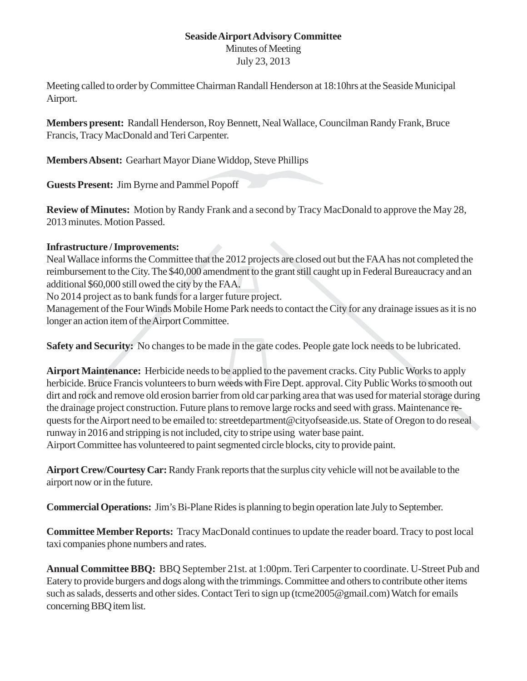## **Seaside Airport Advisory Committee**

Minutes of Meeting

July 23, 2013

Meeting called to order by Committee Chairman Randall Henderson at 18:10hrs at the Seaside Municipal Airport.

**Members present:** Randall Henderson, Roy Bennett, Neal Wallace, Councilman Randy Frank, Bruce Francis, Tracy MacDonald and Teri Carpenter.

**Members Absent:** Gearhart Mayor Diane Widdop, Steve Phillips

**Guests Present:** Jim Byrne and Pammel Popoff

**Review of Minutes:** Motion by Randy Frank and a second by Tracy MacDonald to approve the May 28, 2013 minutes. Motion Passed.

## **Infrastructure / Improvements:**

Neal Wallace informs the Committee that the 2012 projects are closed out but the FAA has not completed the reimbursement to the City. The \$40,000 amendment to the grant still caught up in Federal Bureaucracy and an additional \$60,000 still owed the city by the FAA.

No 2014 project as to bank funds for a larger future project.

Management of the Four Winds Mobile Home Park needs to contact the City for any drainage issues as it is no longer an action item of the Airport Committee.

**Safety and Security:** No changes to be made in the gate codes. People gate lock needs to be lubricated.

**Airport Maintenance:** Herbicide needs to be applied to the pavement cracks. City Public Works to apply herbicide. Bruce Francis volunteers to burn weeds with Fire Dept. approval. City Public Works to smooth out dirt and rock and remove old erosion barrier from old car parking area that was used for material storage during the drainage project construction. Future plans to remove large rocks and seed with grass. Maintenance requests for the Airport need to be emailed to: streetdepartment@cityofseaside.us. State of Oregon to do reseal runway in 2016 and stripping is not included, city to stripe using water base paint. Airport Committee has volunteered to paint segmented circle blocks, city to provide paint.

**Airport Crew/Courtesy Car:** Randy Frank reports that the surplus city vehicle will not be available to the airport now or in the future.

**Commercial Operations:** Jim's Bi-Plane Rides is planning to begin operation late July to September.

**Committee Member Reports:** Tracy MacDonald continues to update the reader board. Tracy to post local taxi companies phone numbers and rates.

**Annual Committee BBQ:** BBQ September 21st. at 1:00pm. Teri Carpenter to coordinate. U-Street Pub and Eatery to provide burgers and dogs along with the trimmings. Committee and others to contribute other items such as salads, desserts and other sides. Contact Teri to sign up (tcme2005@gmail.com) Watch for emails concerning BBQ item list.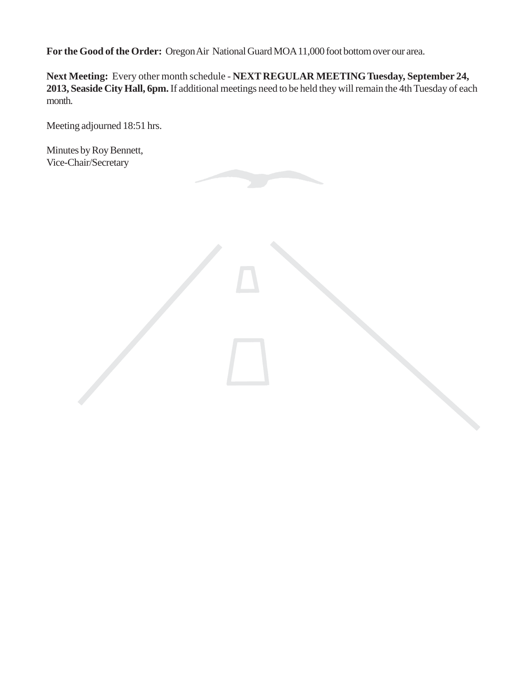**For the Good of the Order:** Oregon Air National Guard MOA 11,000 foot bottom over our area.

**Next Meeting:** Every other month schedule - **NEXT REGULAR MEETING Tuesday, September 24, 2013, Seaside City Hall, 6pm.** If additional meetings need to be held they will remain the 4th Tuesday of each month.

Meeting adjourned 18:51 hrs.

Minutes by Roy Bennett, Vice-Chair/Secretary